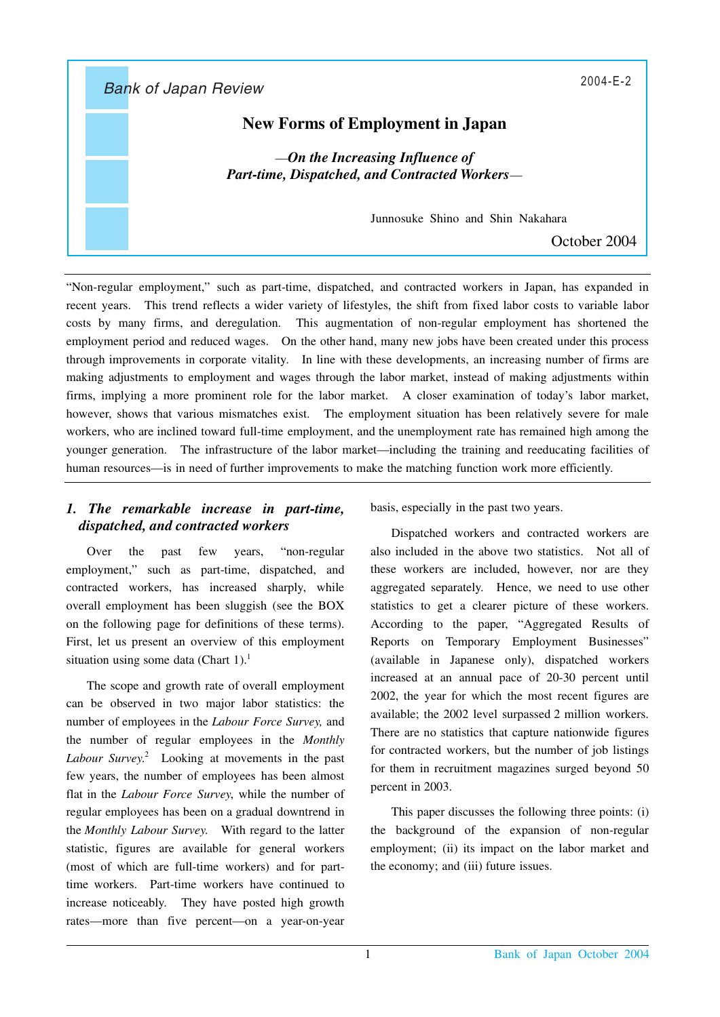Bank of Japan Review 2004-E-2

# **New Forms of Employment in Japan**

—*On the Increasing Influence of Part-time, Dispatched, and Contracted Workers*—

Junnosuke Shino and Shin Nakahara

October 2004

"Non-regular employment," such as part-time, dispatched, and contracted workers in Japan, has expanded in recent years. This trend reflects a wider variety of lifestyles, the shift from fixed labor costs to variable labor costs by many firms, and deregulation. This augmentation of non-regular employment has shortened the employment period and reduced wages. On the other hand, many new jobs have been created under this process through improvements in corporate vitality. In line with these developments, an increasing number of firms are making adjustments to employment and wages through the labor market, instead of making adjustments within firms, implying a more prominent role for the labor market. A closer examination of today's labor market, however, shows that various mismatches exist. The employment situation has been relatively severe for male workers, who are inclined toward full-time employment, and the unemployment rate has remained high among the younger generation. The infrastructure of the labor market—including the training and reeducating facilities of human resources—is in need of further improvements to make the matching function work more efficiently.

# *1. The remarkable increase in part-time, dispatched, and contracted workers*

Over the past few years, "non-regular employment," such as part-time, dispatched, and contracted workers, has increased sharply, while overall employment has been sluggish (see the BOX on the following page for definitions of these terms). First, let us present an overview of this employment situation using some data (Chart 1).<sup>1</sup>

The scope and growth rate of overall employment can be observed in two major labor statistics: the number of employees in the *Labour Force Survey,* and the number of regular employees in the *Monthly Labour Survey*. <sup>2</sup> Looking at movements in the past few years, the number of employees has been almost flat in the *Labour Force Survey*, while the number of regular employees has been on a gradual downtrend in the *Monthly Labour Survey*. With regard to the latter statistic, figures are available for general workers (most of which are full-time workers) and for parttime workers. Part-time workers have continued to increase noticeably. They have posted high growth rates—more than five percent—on a year-on-year

basis, especially in the past two years.

Dispatched workers and contracted workers are also included in the above two statistics. Not all of these workers are included, however, nor are they aggregated separately. Hence, we need to use other statistics to get a clearer picture of these workers. According to the paper, "Aggregated Results of Reports on Temporary Employment Businesses" (available in Japanese only), dispatched workers increased at an annual pace of 20-30 percent until 2002, the year for which the most recent figures are available; the 2002 level surpassed 2 million workers. There are no statistics that capture nationwide figures for contracted workers, but the number of job listings for them in recruitment magazines surged beyond 50 percent in 2003.

This paper discusses the following three points: (i) the background of the expansion of non-regular employment; (ii) its impact on the labor market and the economy; and (iii) future issues.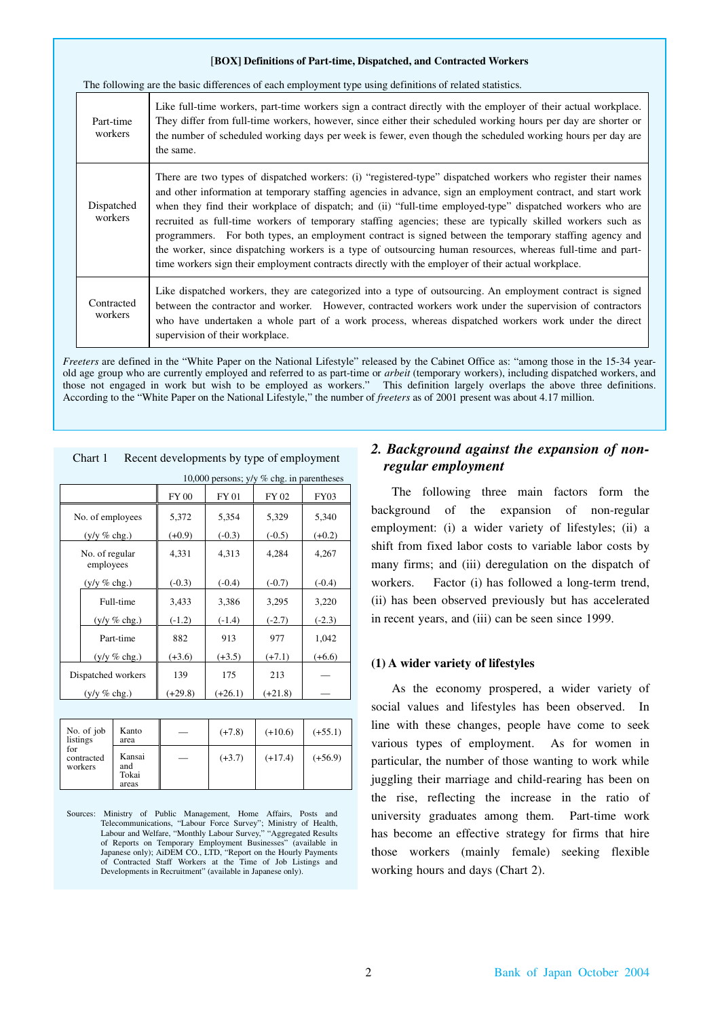#### [**BOX] Definitions of Part-time, Dispatched, and Contracted Workers**

The following are the basic differences of each employment type using definitions of related statistics.

| Part-time<br>workers  | Like full-time workers, part-time workers sign a contract directly with the employer of their actual workplace.<br>They differ from full-time workers, however, since either their scheduled working hours per day are shorter or<br>the number of scheduled working days per week is fewer, even though the scheduled working hours per day are<br>the same.                                                                                                                                                                                                                                                                                                                                                                                                                           |
|-----------------------|-----------------------------------------------------------------------------------------------------------------------------------------------------------------------------------------------------------------------------------------------------------------------------------------------------------------------------------------------------------------------------------------------------------------------------------------------------------------------------------------------------------------------------------------------------------------------------------------------------------------------------------------------------------------------------------------------------------------------------------------------------------------------------------------|
| Dispatched<br>workers | There are two types of dispatched workers: (i) "registered-type" dispatched workers who register their names<br>and other information at temporary staffing agencies in advance, sign an employment contract, and start work<br>when they find their workplace of dispatch; and (ii) "full-time employed-type" dispatched workers who are<br>recruited as full-time workers of temporary staffing agencies; these are typically skilled workers such as<br>programmers. For both types, an employment contract is signed between the temporary staffing agency and<br>the worker, since dispatching workers is a type of outsourcing human resources, whereas full-time and part-<br>time workers sign their employment contracts directly with the employer of their actual workplace. |
| Contracted<br>workers | Like dispatched workers, they are categorized into a type of outsourcing. An employment contract is signed<br>between the contractor and worker. However, contracted workers work under the supervision of contractors<br>who have undertaken a whole part of a work process, whereas dispatched workers work under the direct<br>supervision of their workplace.                                                                                                                                                                                                                                                                                                                                                                                                                       |

*Freeters* are defined in the "White Paper on the National Lifestyle" released by the Cabinet Office as: "among those in the 15-34 yearold age group who are currently employed and referred to as part-time or *arbeit* (temporary workers), including dispatched workers, and those not engaged in work but wish to be employed as workers." This definition largely overlaps the above three definitions. According to the "White Paper on the National Lifestyle," the number of *freeters* as of 2001 present was about 4.17 million.

| 10,000 persons; y/y % chg. in parentheses |              |           |           |             |  |  |
|-------------------------------------------|--------------|-----------|-----------|-------------|--|--|
|                                           | <b>FY 00</b> | FY 01     | FY 02     | <b>FY03</b> |  |  |
| No. of employees                          | 5,372        | 5,354     | 5,329     | 5,340       |  |  |
| $(y/y \% chg.)$                           | $(+0.9)$     | $(-0.3)$  | $(-0.5)$  | $(+0.2)$    |  |  |
| No. of regular<br>employees               | 4,331        | 4,313     | 4,284     | 4,267       |  |  |
| $(y/y \% chg.)$                           | $(-0.3)$     | $(-0.4)$  | $(-0.7)$  | $(-0.4)$    |  |  |
| Full-time                                 | 3,433        | 3,386     | 3,295     | 3,220       |  |  |
| $(y/y \% chg.)$                           | $(-1.2)$     | $(-1.4)$  | $(-2.7)$  | $(-2.3)$    |  |  |
| Part-time                                 | 882          | 913       | 977       | 1,042       |  |  |
| $(y/y \% chg.)$                           | $(+3.6)$     | $(+3.5)$  | $(+7.1)$  | $(+6.6)$    |  |  |
| Dispatched workers                        | 139          | 175       | 213       |             |  |  |
| $(y/y \% chg.)$                           | $(+29.8)$    | $(+26.1)$ | $(+21.8)$ |             |  |  |
|                                           |              |           |           |             |  |  |

Chart 1 Recent developments by type of employment

| No. of job<br>listings       | Kanto<br>area                   | $(+7.8)$ | $(+10.6)$ | $(+55.1)$ |
|------------------------------|---------------------------------|----------|-----------|-----------|
| for<br>contracted<br>workers | Kansai<br>and<br>Tokai<br>areas | $(+3.7)$ | $(+17.4)$ | $(+56.9)$ |

Sources: Ministry of Public Management, Home Affairs, Posts and Telecommunications, "Labour Force Survey"; Ministry of Health, Labour and Welfare, "Monthly Labour Survey," "Aggregated Results of Reports on Temporary Employment Businesses" (available in Japanese only); AiDEM CO., LTD, "Report on the Hourly Payments of Contracted Staff Workers at the Time of Job Listings and Developments in Recruitment" (available in Japanese only).

## *2. Background against the expansion of nonregular employment*

The following three main factors form the background of the expansion of non-regular employment: (i) a wider variety of lifestyles; (ii) a shift from fixed labor costs to variable labor costs by many firms; and (iii) deregulation on the dispatch of workers. Factor (i) has followed a long-term trend, (ii) has been observed previously but has accelerated in recent years, and (iii) can be seen since 1999.

### **(1) A wider variety of lifestyles**

As the economy prospered, a wider variety of social values and lifestyles has been observed. In line with these changes, people have come to seek various types of employment. As for women in particular, the number of those wanting to work while juggling their marriage and child-rearing has been on the rise, reflecting the increase in the ratio of university graduates among them. Part-time work has become an effective strategy for firms that hire those workers (mainly female) seeking flexible working hours and days (Chart 2).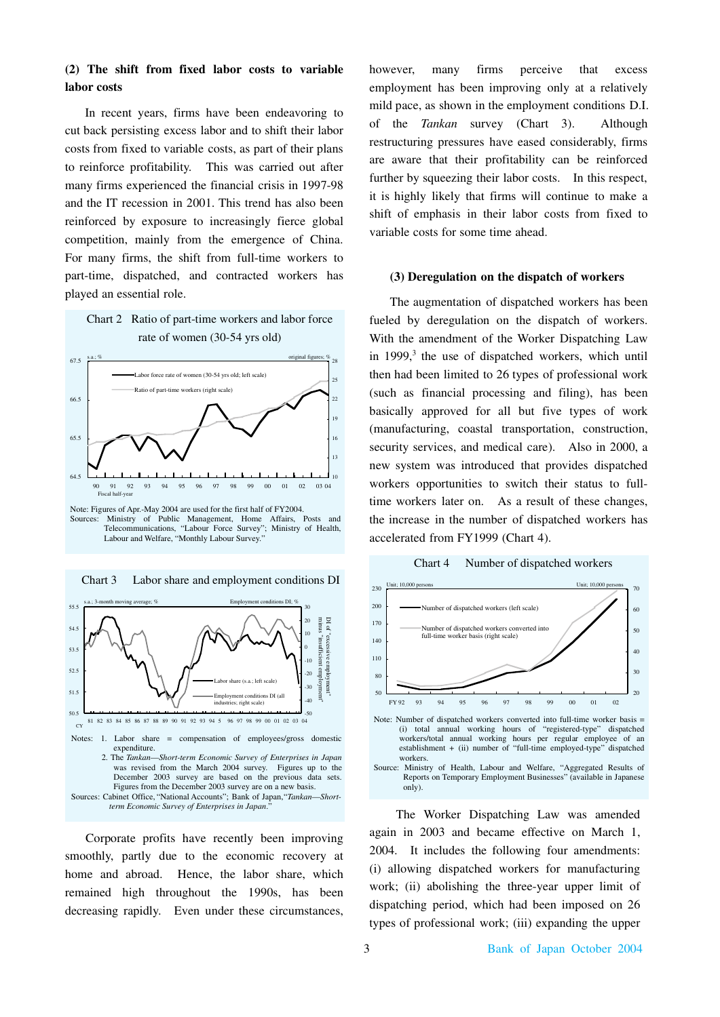## **(2) The shift from fixed labor costs to variable labor costs**

In recent years, firms have been endeavoring to cut back persisting excess labor and to shift their labor costs from fixed to variable costs, as part of their plans to reinforce profitability. This was carried out after many firms experienced the financial crisis in 1997-98 and the IT recession in 2001. This trend has also been reinforced by exposure to increasingly fierce global competition, mainly from the emergence of China. For many firms, the shift from full-time workers to part-time, dispatched, and contracted workers has played an essential role.



Ministry of Public Management, Home Affairs, Posts and Telecommunications, "Labour Force Survey"; Ministry of Health, "Labour Force Survey"; Ministry of Health, Labour and Welfare, "Monthly Labour Survey."



Chart 3 Labor share and employment conditions DI

Corporate profits have recently been improving smoothly, partly due to the economic recovery at home and abroad. Hence, the labor share, which remained high throughout the 1990s, has been decreasing rapidly. Even under these circumstances,

however, many firms perceive that excess employment has been improving only at a relatively mild pace, as shown in the employment conditions D.I. of the *Tankan* survey (Chart 3). Although restructuring pressures have eased considerably, firms are aware that their profitability can be reinforced further by squeezing their labor costs. In this respect, it is highly likely that firms will continue to make a shift of emphasis in their labor costs from fixed to variable costs for some time ahead.

#### **(3) Deregulation on the dispatch of workers**

With the amendment of the Worker Dispatching Law in 1999, <sup>3</sup> the use of dispatched workers, which until then had been limited to 26 types of professional work (such as financial processing and filing), has been basically approved for all but five types of work (manufacturing, coastal transportation, construction, security services, and medical care). Also in 2000, a new system was introduced that provides dispatched workers opportunities to switch their status to fulltime workers later on. As a result of these changes, the increase in the number of dispatched workers has accelerated from FY1999 (Chart 4). The augmentation of dispatched workers has been fueled by deregulation on the dispatch of workers.





The Worker Dispatching Law was amended again in 2003 and became effective on March 1, 2004. It includes the following four amendments: (i) allowing dispatched workers for manufacturing work; (ii) abolishing the three-year upper limit of dispatching period, which had been imposed on 26 types of professional work; (iii) expanding the upper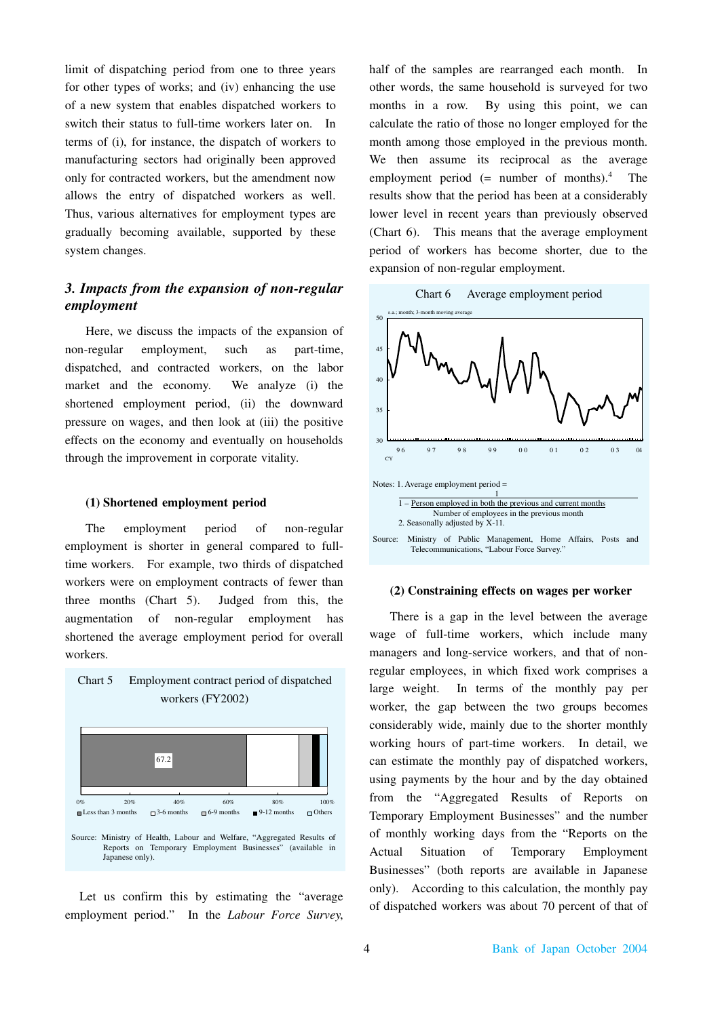limit of dispatching period from one to three years for other types of works; and (iv) enhancing the use of a new system that enables dispatched workers to switch their status to full-time workers later on. In terms of (i), for instance, the dispatch of workers to manufacturing sectors had originally been approved only for contracted workers, but the amendment now allows the entry of dispatched workers as well. Thus, various alternatives for employment types are gradually becoming available, supported by these system changes.

# *3. Impacts from the expansion of non-regular employment*

Here, we discuss the impacts of the expansion of non-regular employment, such as part-time, dispatched, and contracted workers, on the labor market and the economy. We analyze (i) the shortened employment period, (ii) the downward pressure on wages, and then look at (iii) the positive effects on the economy and eventually on households through the improvement in corporate vitality.

### **(1) Shortened employment period**

The employment period of non-regular employment is shorter in general compared to fulltime workers. For example, two thirds of dispatched workers were on employment contracts of fewer than three months (Chart 5). Judged from this, the augmentation of non-regular employment has shortened the average employment period for overall workers.

Chart 5 Employment contract period of dispatched



Let us confirm this by estimating the "average employment period." In the *Labour Force Survey*, half of the samples are rearranged each month. In other words, the same household is surveyed for two months in a row. By using this point, we can calculate the ratio of those no longer employed for the month among those employed in the previous month. We then assume its reciprocal as the average employment period  $(=$  number of months).<sup>4</sup> The results show that the period has been at a considerably lower level in recent years than previously observed (Chart 6). This means that the average employment period of workers has become shorter, due to the expansion of non-regular employment.



### **(2) Constraining effects on wages per worker**

There is a gap in the level between the average wage of full-time workers, which include many managers and long-service workers, and that of nonregular employees, in which fixed work comprises a large weight. In terms of the monthly pay per worker, the gap between the two groups becomes considerably wide, mainly due to the shorter monthly working hours of part-time workers. In detail, we can estimate the monthly pay of dispatched workers, using payments by the hour and by the day obtained from the "Aggregated Results of Reports on Temporary Employment Businesses" and the number of monthly working days from the "Reports on the Actual Situation of Temporary Employment Businesses" (both reports are available in Japanese only). According to this calculation, the monthly pay of dispatched workers was about 70 percent of that of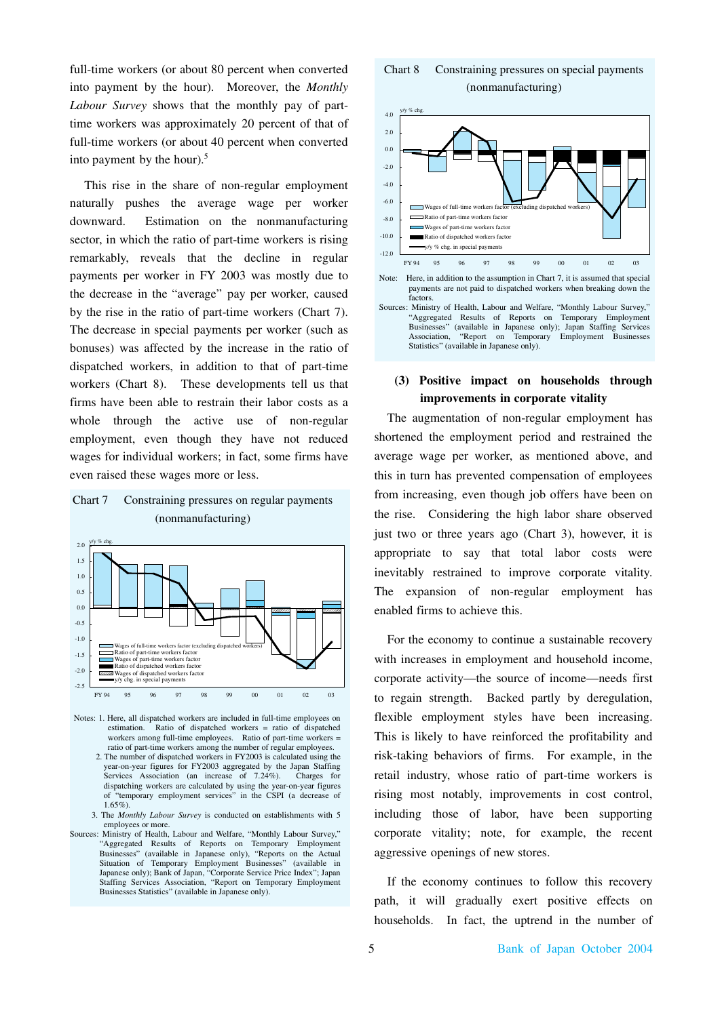full-time workers (or about 80 percent when converted into payment by the hour). Moreover, the *Monthly Labour Survey* shows that the monthly pay of parttime workers was approximately 20 percent of that of full-time workers (or about 40 percent when converted into payment by the hour). 5

This rise in the share of non-regular employment naturally pushes the average wage per worker downward. Estimation on the nonmanufacturing sector, in which the ratio of part-time workers is rising remarkably, reveals that the decline in regular payments per worker in FY 2003 was mostly due to the decrease in the "average" pay per worker, caused by the rise in the ratio of part-time workers (Chart 7). The decrease in special payments per worker (such as bonuses) was affected by the increase in the ratio of dispatched workers, in addition to that of part-time workers (Chart 8). These developments tell us that firms have been able to restrain their labor costs as a whole through the active use of non-regular employment, even though they have not reduced wages for individual workers; in fact, some firms have even raised these wages more or less.





- Notes: 1. Here, all dispatched workers are included in full-time employees on estimation. Ratio of dispatched workers = ratio of dispatched workers among full-time employees. Ratio of part-time workers = ratio of part-time workers among the number of regular employees.
	- 2. The number of dispatched workers in FY2003 is calculated using the year-on-year figures for FY2003 aggregated by the Japan Staffing<br>Services Association (an increase of 7.24%). Charges for Services Association (an increase of  $7.24\%$ ). dispatching workers are calculated by using the year-on-year figures of "temporary employment services" in the CSPI (a decrease of  $1.65\%$
	- 3. The *Monthly Labour Survey* is conducted on establishments with 5 employees or more.
- Sources: Ministry of Health, Labour and Welfare, "Monthly Labour Survey," "Aggregated Results of Reports on Temporary Employment Businesses" (available in Japanese only), "Reports on the Actual Situation of Temporary Employment Businesses" (available in Japanese only); Bank of Japan, "Corporate Service Price Index"; Japan Staffing Services Association, "Report on Temporary Employment Businesses Statistics" (available in Japanese only).

### Chart 8 Constraining pressures on special payments (nonmanufacturing)



# **(3) Positive impact on households through improvements in corporate vitality**

The augmentation of non-regular employment has shortened the employment period and restrained the average wage per worker, as mentioned above, and this in turn has prevented compensation of employees from increasing, even though job offers have been on the rise. Considering the high labor share observed just two or three years ago (Chart 3), however, it is appropriate to say that total labor costs were inevitably restrained to improve corporate vitality. The expansion of non-regular employment has enabled firms to achieve this.

For the economy to continue a sustainable recovery with increases in employment and household income, corporate activity—the source of income—needs first to regain strength. Backed partly by deregulation, flexible employment styles have been increasing. This is likely to have reinforced the profitability and risk-taking behaviors of firms. For example, in the retail industry, whose ratio of part-time workers is rising most notably, improvements in cost control, including those of labor, have been supporting corporate vitality; note, for example, the recent aggressive openings of new stores.

If the economy continues to follow this recovery path, it will gradually exert positive effects on households. In fact, the uptrend in the number of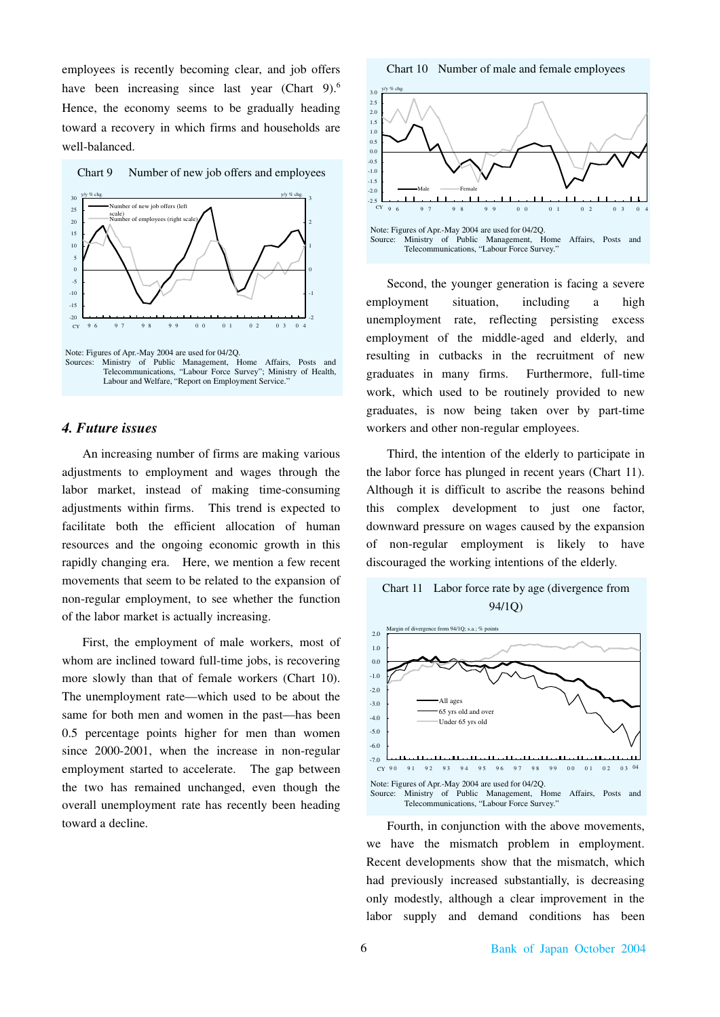employees is recently becoming clear, and job offers have been increasing since last year (Chart 9).<sup>6</sup> Hence, the economy seems to be gradually heading toward a recovery in which firms and households are well-balanced.





### *4. Future issues*

An increasing number of firms are making various adjustments to employment and wages through the labor market, instead of making time-consuming adjustments within firms. This trend is expected to facilitate both the efficient allocation of human resources and the ongoing economic growth in this rapidly changing era. Here, we mention a few recent movements that seem to be related to the expansion of non-regular employment, to see whether the function of the labor market is actually increasing.

First, the employment of male workers, most of whom are inclined toward full-time jobs, is recovering more slowly than that of female workers (Chart 10). The unemployment rate—which used to be about the same for both men and women in the past—has been 0.5 percentage points higher for men than women since 2000-2001, when the increase in non-regular employment started to accelerate. The gap between the two has remained unchanged, even though the overall unemployment rate has recently been heading toward a decline.

Chart 10 Number of male and female employees



Second, the younger generation is facing a severe employment situation, including a high unemployment rate, reflecting persisting excess employment of the middle-aged and elderly, and resulting in cutbacks in the recruitment of new graduates in many firms. Furthermore, full-time work, which used to be routinely provided to new graduates, is now being taken over by part-time workers and other non-regular employees.

Third, the intention of the elderly to participate in the labor force has plunged in recent years (Chart 11). Although it is difficult to ascribe the reasons behind this complex development to just one factor, downward pressure on wages caused by the expansion of non-regular employment is likely to have discouraged the working intentions of the elderly.





Fourth, in conjunction with the above movements, we have the mismatch problem in employment. Recent developments show that the mismatch, which had previously increased substantially, is decreasing only modestly, although a clear improvement in the labor supply and demand conditions has been